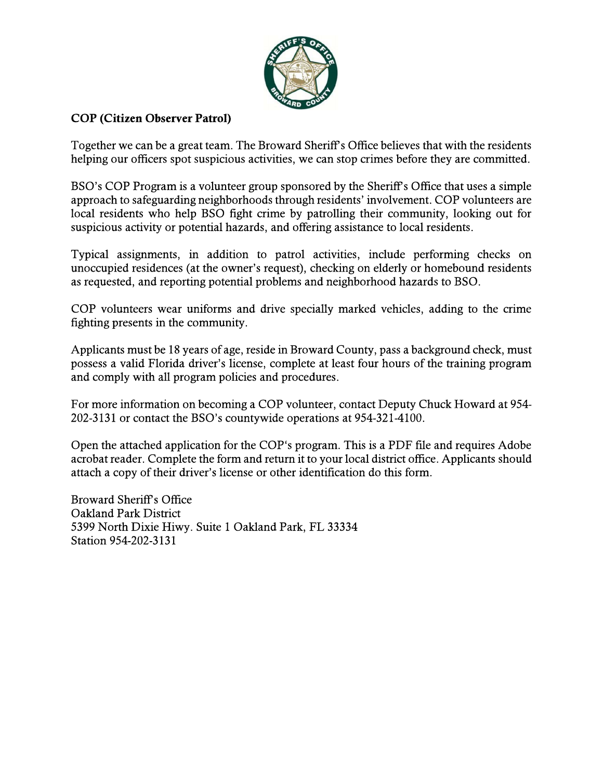

## **COP** (Citizen Observer Patrol)

Together we can be a great team. The Broward Sheriff's Office believes that with the residents helping our officers spot suspicious activities, we can stop crimes before they are committed.

BSO's COP Program is a volunteer group sponsored by the Sheriff's Office that uses a simple approach to safeguarding neighborhoods through residents' involvement. COP volunteers are local residents who help BSO fight crime by patrolling their community, looking out for suspicious activity or potential hazards, and offering assistance to local residents.

Typical assignments, in addition to patrol activities, include performing checks on unoccupied residences (at the owner's request), checking on elderly or homebound residents as requested, and reporting potential problems and neighborhood hazards to BSO.

COP volunteers wear uniforms and drive specially marked vehicles, adding to the crime fighting presents in the community.

Applicants must be 18 years of age, reside in Broward County, pass a background check, must possess a valid Florida driver's license, complete at least four hours of the training program and comply with all program policies and procedures.

For more information on becoming a COP volunteer, contact Deputy Chuck Howard at 954-202-3131 or contact the BSO's countywide operations at 954-321-4100.

Open the attached application for the COP's program. This is a PDF file and requires Adobe acrobat reader. Complete the form and return it to your local district office. Applicants should attach a copy of their driver's license or other identification do this form.

**Broward Sheriff's Office Oakland Park District** 5399 North Dixie Hiwy. Suite 1 Oakland Park, FL 33334 Station 954-202-3131